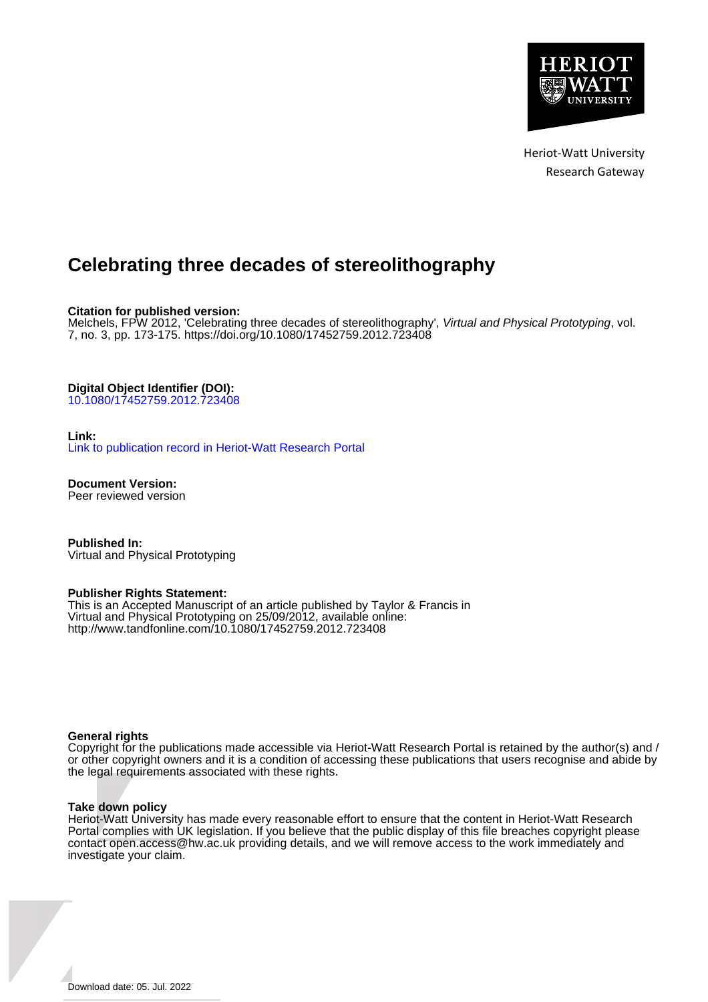

Heriot-Watt University Research Gateway

# **Celebrating three decades of stereolithography**

**Citation for published version:**

Melchels, FPW 2012, 'Celebrating three decades of stereolithography', Virtual and Physical Prototyping, vol. 7, no. 3, pp. 173-175. <https://doi.org/10.1080/17452759.2012.723408>

**Digital Object Identifier (DOI):**

[10.1080/17452759.2012.723408](https://doi.org/10.1080/17452759.2012.723408)

#### **Link:**

[Link to publication record in Heriot-Watt Research Portal](https://researchportal.hw.ac.uk/en/publications/d4a3ba0e-5167-4be2-a63f-dacc9d82b368)

**Document Version:** Peer reviewed version

**Published In:** Virtual and Physical Prototyping

#### **Publisher Rights Statement:**

This is an Accepted Manuscript of an article published by Taylor & Francis in Virtual and Physical Prototyping on 25/09/2012, available online: http://www.tandfonline.com/10.1080/17452759.2012.723408

#### **General rights**

Copyright for the publications made accessible via Heriot-Watt Research Portal is retained by the author(s) and / or other copyright owners and it is a condition of accessing these publications that users recognise and abide by the legal requirements associated with these rights.

#### **Take down policy**

Heriot-Watt University has made every reasonable effort to ensure that the content in Heriot-Watt Research Portal complies with UK legislation. If you believe that the public display of this file breaches copyright please contact open.access@hw.ac.uk providing details, and we will remove access to the work immediately and investigate your claim.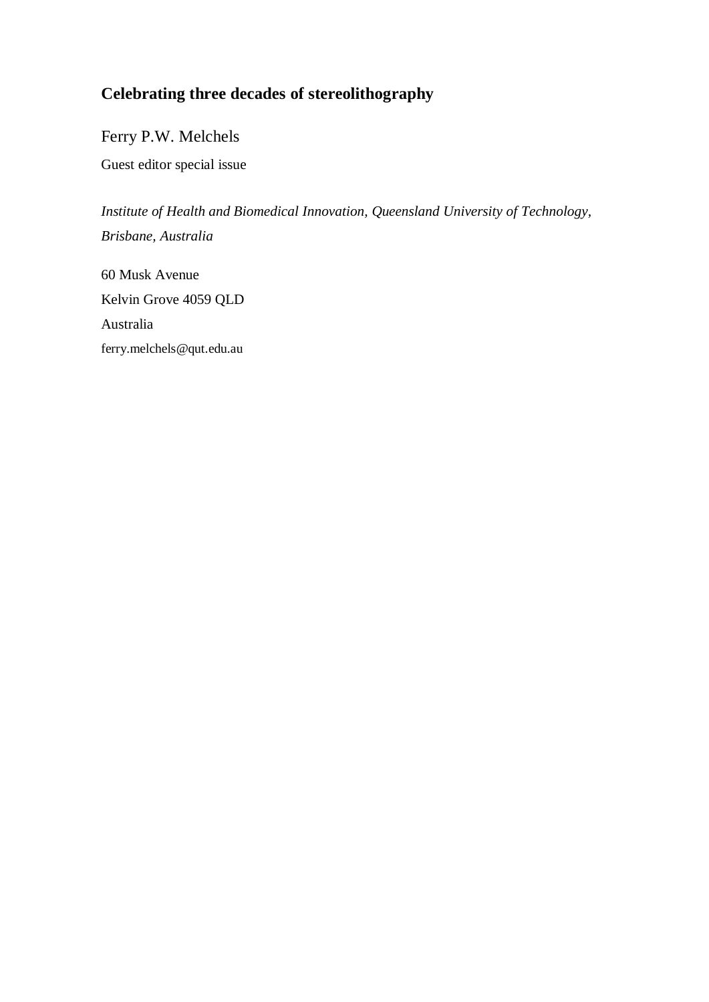## **Celebrating three decades of stereolithography**

Ferry P.W. Melchels

Guest editor special issue

*Institute of Health and Biomedical Innovation, Queensland University of Technology, Brisbane, Australia*

60 Musk Avenue Kelvin Grove 4059 QLD Australia ferry.melchels@qut.edu.au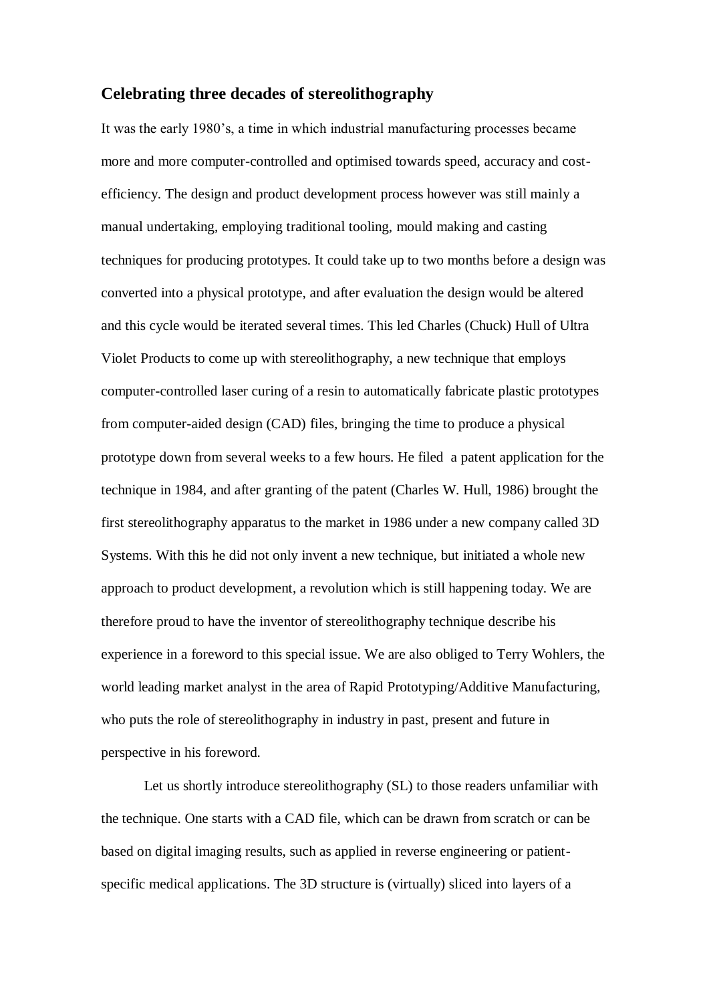## **Celebrating three decades of stereolithography**

It was the early 1980's, a time in which industrial manufacturing processes became more and more computer-controlled and optimised towards speed, accuracy and costefficiency. The design and product development process however was still mainly a manual undertaking, employing traditional tooling, mould making and casting techniques for producing prototypes. It could take up to two months before a design was converted into a physical prototype, and after evaluation the design would be altered and this cycle would be iterated several times. This led Charles (Chuck) Hull of Ultra Violet Products to come up with stereolithography, a new technique that employs computer-controlled laser curing of a resin to automatically fabricate plastic prototypes from computer-aided design (CAD) files, bringing the time to produce a physical prototype down from several weeks to a few hours. He filed a patent application for the technique in 1984, and after granting of the patent (Charles W. Hull, 1986) brought the first stereolithography apparatus to the market in 1986 under a new company called 3D Systems. With this he did not only invent a new technique, but initiated a whole new approach to product development, a revolution which is still happening today. We are therefore proud to have the inventor of stereolithography technique describe his experience in a foreword to this special issue. We are also obliged to Terry Wohlers, the world leading market analyst in the area of Rapid Prototyping/Additive Manufacturing, who puts the role of stereolithography in industry in past, present and future in perspective in his foreword.

Let us shortly introduce stereolithography (SL) to those readers unfamiliar with the technique. One starts with a CAD file, which can be drawn from scratch or can be based on digital imaging results, such as applied in reverse engineering or patientspecific medical applications. The 3D structure is (virtually) sliced into layers of a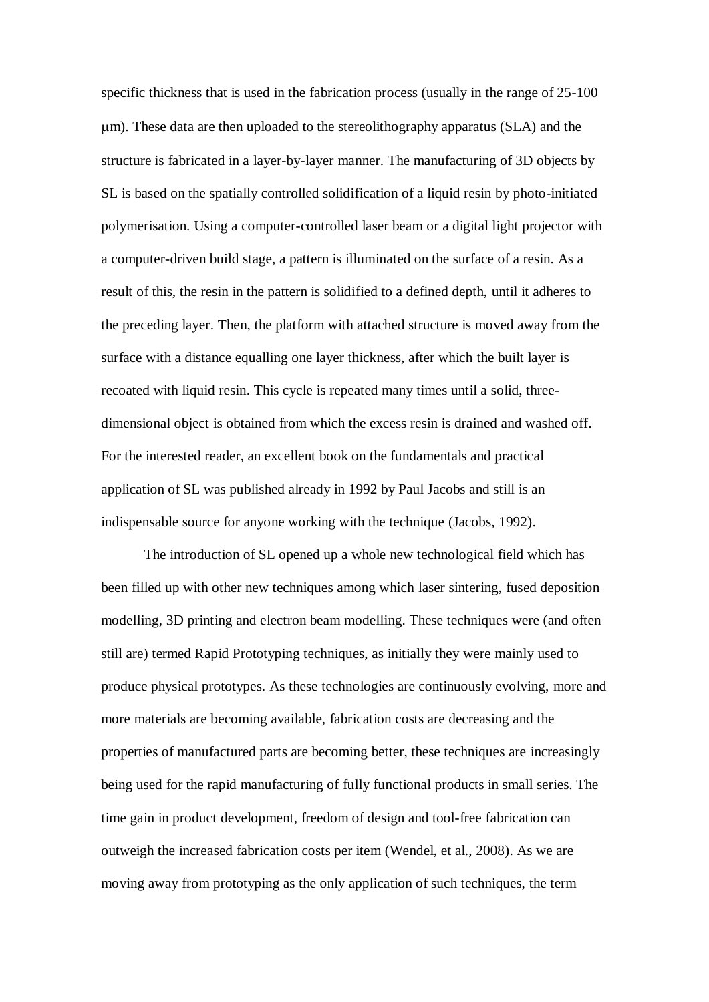specific thickness that is used in the fabrication process (usually in the range of 25-100 m). These data are then uploaded to the stereolithography apparatus (SLA) and the structure is fabricated in a layer-by-layer manner. The manufacturing of 3D objects by SL is based on the spatially controlled solidification of a liquid resin by photo-initiated polymerisation. Using a computer-controlled laser beam or a digital light projector with a computer-driven build stage, a pattern is illuminated on the surface of a resin. As a result of this, the resin in the pattern is solidified to a defined depth, until it adheres to the preceding layer. Then, the platform with attached structure is moved away from the surface with a distance equalling one layer thickness, after which the built layer is recoated with liquid resin. This cycle is repeated many times until a solid, threedimensional object is obtained from which the excess resin is drained and washed off. For the interested reader, an excellent book on the fundamentals and practical application of SL was published already in 1992 by Paul Jacobs and still is an indispensable source for anyone working with the technique (Jacobs, 1992).

The introduction of SL opened up a whole new technological field which has been filled up with other new techniques among which laser sintering, fused deposition modelling, 3D printing and electron beam modelling. These techniques were (and often still are) termed Rapid Prototyping techniques, as initially they were mainly used to produce physical prototypes. As these technologies are continuously evolving, more and more materials are becoming available, fabrication costs are decreasing and the properties of manufactured parts are becoming better, these techniques are increasingly being used for the rapid manufacturing of fully functional products in small series. The time gain in product development, freedom of design and tool-free fabrication can outweigh the increased fabrication costs per item (Wendel, et al., 2008). As we are moving away from prototyping as the only application of such techniques, the term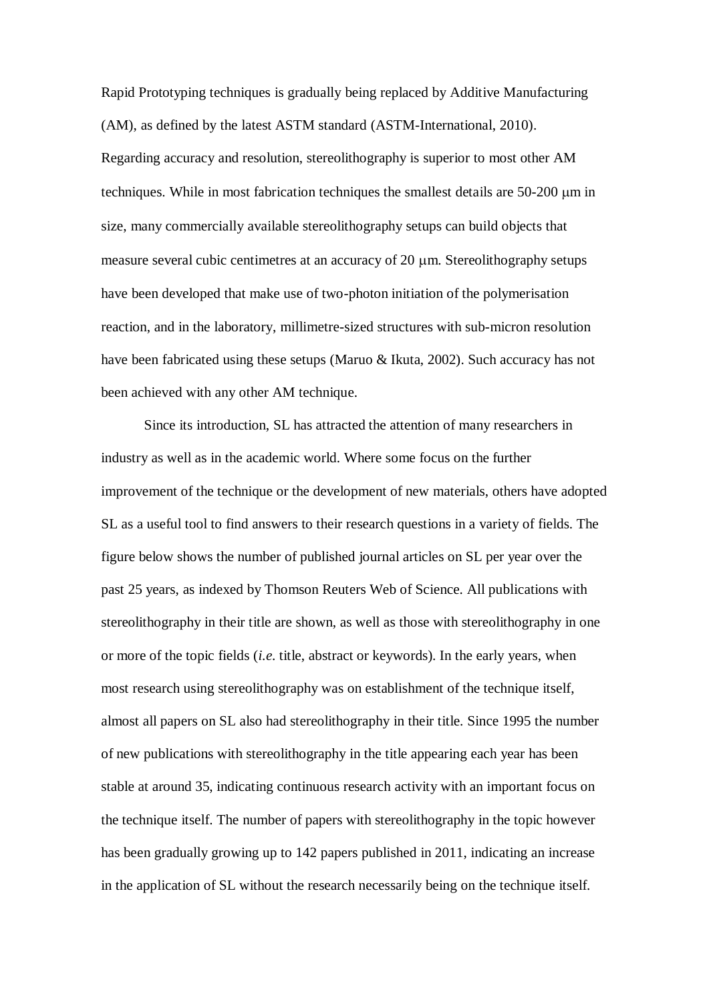Rapid Prototyping techniques is gradually being replaced by Additive Manufacturing (AM), as defined by the latest ASTM standard (ASTM-International, 2010). Regarding accuracy and resolution, stereolithography is superior to most other AM techniques. While in most fabrication techniques the smallest details are  $50-200 \mu m$  in size, many commercially available stereolithography setups can build objects that measure several cubic centimetres at an accuracy of  $20 \mu m$ . Stereolithography setups have been developed that make use of two-photon initiation of the polymerisation reaction, and in the laboratory, millimetre-sized structures with sub-micron resolution have been fabricated using these setups (Maruo & Ikuta, 2002). Such accuracy has not been achieved with any other AM technique.

Since its introduction, SL has attracted the attention of many researchers in industry as well as in the academic world. Where some focus on the further improvement of the technique or the development of new materials, others have adopted SL as a useful tool to find answers to their research questions in a variety of fields. The figure below shows the number of published journal articles on SL per year over the past 25 years, as indexed by Thomson Reuters Web of Science. All publications with stereolithography in their title are shown, as well as those with stereolithography in one or more of the topic fields (*i.e.* title, abstract or keywords). In the early years, when most research using stereolithography was on establishment of the technique itself, almost all papers on SL also had stereolithography in their title. Since 1995 the number of new publications with stereolithography in the title appearing each year has been stable at around 35, indicating continuous research activity with an important focus on the technique itself. The number of papers with stereolithography in the topic however has been gradually growing up to 142 papers published in 2011, indicating an increase in the application of SL without the research necessarily being on the technique itself.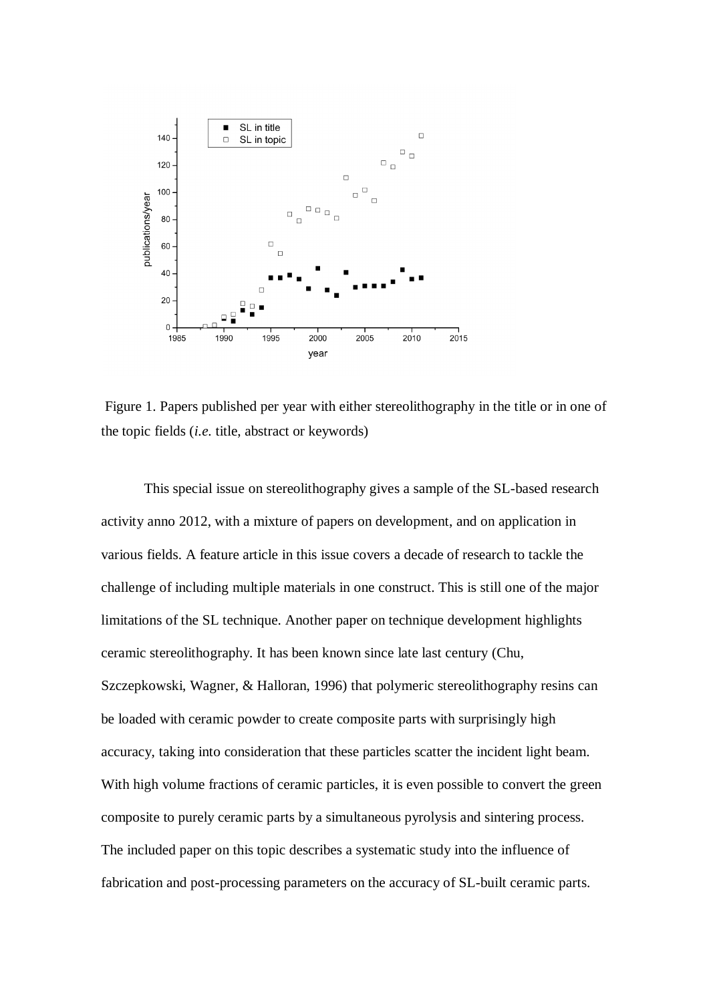

Figure 1. Papers published per year with either stereolithography in the title or in one of the topic fields (*i.e.* title, abstract or keywords)

This special issue on stereolithography gives a sample of the SL-based research activity anno 2012, with a mixture of papers on development, and on application in various fields. A feature article in this issue covers a decade of research to tackle the challenge of including multiple materials in one construct. This is still one of the major limitations of the SL technique. Another paper on technique development highlights ceramic stereolithography. It has been known since late last century (Chu, Szczepkowski, Wagner, & Halloran, 1996) that polymeric stereolithography resins can be loaded with ceramic powder to create composite parts with surprisingly high accuracy, taking into consideration that these particles scatter the incident light beam. With high volume fractions of ceramic particles, it is even possible to convert the green composite to purely ceramic parts by a simultaneous pyrolysis and sintering process. The included paper on this topic describes a systematic study into the influence of fabrication and post-processing parameters on the accuracy of SL-built ceramic parts.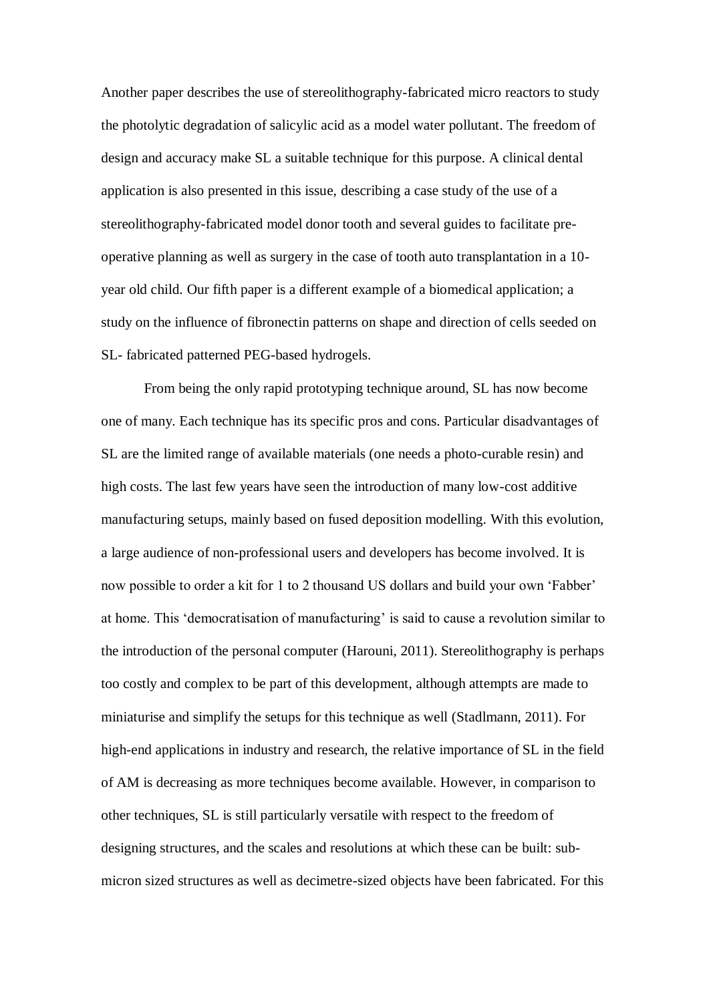Another paper describes the use of stereolithography-fabricated micro reactors to study the photolytic degradation of salicylic acid as a model water pollutant. The freedom of design and accuracy make SL a suitable technique for this purpose. A clinical dental application is also presented in this issue, describing a case study of the use of a stereolithography-fabricated model donor tooth and several guides to facilitate preoperative planning as well as surgery in the case of tooth auto transplantation in a 10 year old child. Our fifth paper is a different example of a biomedical application; a study on the influence of fibronectin patterns on shape and direction of cells seeded on SL- fabricated patterned PEG-based hydrogels.

From being the only rapid prototyping technique around, SL has now become one of many. Each technique has its specific pros and cons. Particular disadvantages of SL are the limited range of available materials (one needs a photo-curable resin) and high costs. The last few years have seen the introduction of many low-cost additive manufacturing setups, mainly based on fused deposition modelling. With this evolution, a large audience of non-professional users and developers has become involved. It is now possible to order a kit for 1 to 2 thousand US dollars and build your own 'Fabber' at home. This 'democratisation of manufacturing' is said to cause a revolution similar to the introduction of the personal computer (Harouni, 2011). Stereolithography is perhaps too costly and complex to be part of this development, although attempts are made to miniaturise and simplify the setups for this technique as well (Stadlmann, 2011). For high-end applications in industry and research, the relative importance of SL in the field of AM is decreasing as more techniques become available. However, in comparison to other techniques, SL is still particularly versatile with respect to the freedom of designing structures, and the scales and resolutions at which these can be built: submicron sized structures as well as decimetre-sized objects have been fabricated. For this